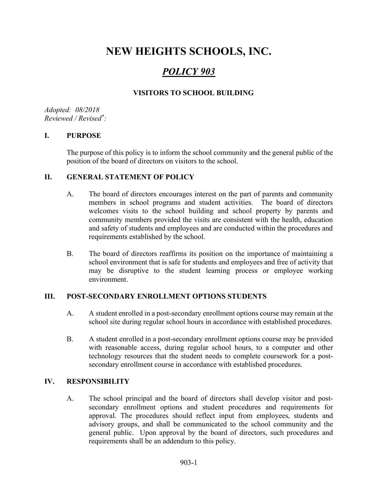# NEW HEIGHTS SCHOOLS, INC.

## POLICY 903

## VISITORS TO SCHOOL BUILDING

Adopted: 08/2018 Reviewed / Revised\* :

#### I. PURPOSE

The purpose of this policy is to inform the school community and the general public of the position of the board of directors on visitors to the school.

#### II. GENERAL STATEMENT OF POLICY

- A. The board of directors encourages interest on the part of parents and community members in school programs and student activities. The board of directors welcomes visits to the school building and school property by parents and community members provided the visits are consistent with the health, education and safety of students and employees and are conducted within the procedures and requirements established by the school.
- B. The board of directors reaffirms its position on the importance of maintaining a school environment that is safe for students and employees and free of activity that may be disruptive to the student learning process or employee working environment.

#### III. POST-SECONDARY ENROLLMENT OPTIONS STUDENTS

- A. A student enrolled in a post-secondary enrollment options course may remain at the school site during regular school hours in accordance with established procedures.
- B. A student enrolled in a post-secondary enrollment options course may be provided with reasonable access, during regular school hours, to a computer and other technology resources that the student needs to complete coursework for a postsecondary enrollment course in accordance with established procedures.

#### IV. RESPONSIBILITY

A. The school principal and the board of directors shall develop visitor and postsecondary enrollment options and student procedures and requirements for approval. The procedures should reflect input from employees, students and advisory groups, and shall be communicated to the school community and the general public. Upon approval by the board of directors, such procedures and requirements shall be an addendum to this policy.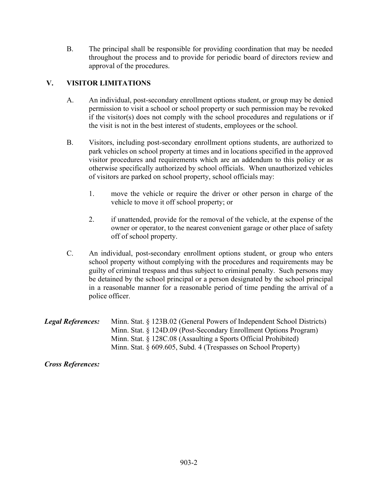B. The principal shall be responsible for providing coordination that may be needed throughout the process and to provide for periodic board of directors review and approval of the procedures.

## V. VISITOR LIMITATIONS

- A. An individual, post-secondary enrollment options student, or group may be denied permission to visit a school or school property or such permission may be revoked if the visitor(s) does not comply with the school procedures and regulations or if the visit is not in the best interest of students, employees or the school.
- B. Visitors, including post-secondary enrollment options students, are authorized to park vehicles on school property at times and in locations specified in the approved visitor procedures and requirements which are an addendum to this policy or as otherwise specifically authorized by school officials. When unauthorized vehicles of visitors are parked on school property, school officials may:
	- 1. move the vehicle or require the driver or other person in charge of the vehicle to move it off school property; or
	- 2. if unattended, provide for the removal of the vehicle, at the expense of the owner or operator, to the nearest convenient garage or other place of safety off of school property.
- C. An individual, post-secondary enrollment options student, or group who enters school property without complying with the procedures and requirements may be guilty of criminal trespass and thus subject to criminal penalty. Such persons may be detained by the school principal or a person designated by the school principal in a reasonable manner for a reasonable period of time pending the arrival of a police officer.

| <b>Legal References:</b> | Minn. Stat. § 123B.02 (General Powers of Independent School Districts) |
|--------------------------|------------------------------------------------------------------------|
|                          | Minn. Stat. § 124D.09 (Post-Secondary Enrollment Options Program)      |
|                          | Minn. Stat. $\S$ 128C.08 (Assaulting a Sports Official Prohibited)     |
|                          | Minn. Stat. $\S$ 609.605, Subd. 4 (Trespasses on School Property)      |

Cross References: